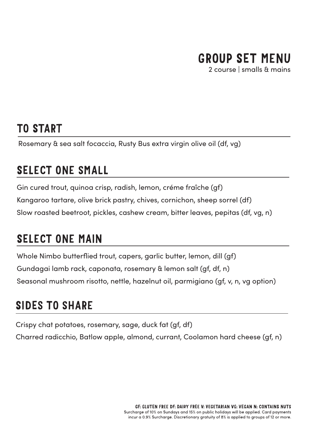## GROUP SET MENU

2 course | smalls & mains

### TO START

Rosemary & sea salt focaccia, Rusty Bus extra virgin olive oil (df, vg)

## SELECT ONE SMALL

Gin cured trout, quinoa crisp, radish, lemon, créme fraîche (gf) Kangaroo tartare, olive brick pastry, chives, cornichon, sheep sorrel (df) Slow roasted beetroot, pickles, cashew cream, bitter leaves, pepitas (df, vg, n)

## SELECT ONE MAIN

Whole Nimbo butterflied trout, capers, garlic butter, lemon, dill (gf) Gundagai lamb rack, caponata, rosemary & lemon salt (gf, df, n) Seasonal mushroom risotto, nettle, hazelnut oil, parmigiano (gf, v, n, vg option)

## SIDES TO SHARE

Crispy chat potatoes, rosemary, sage, duck fat (gf, df) Charred radicchio, Batlow apple, almond, currant, Coolamon hard cheese (gf, n)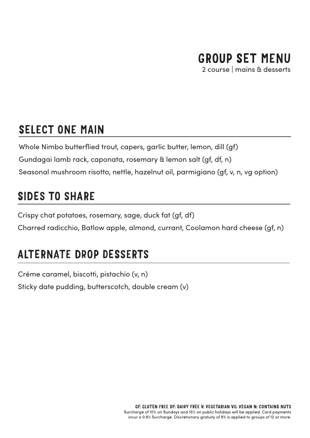# GROUP SET MENU

2 course | mains & desserts

### SELECT ONE MAIN

Whole Nimbo butterflied trout, capers, garlic butter, lemon, dill (gf) Gundagai lamb rack, caponata, rosemary & lemon salt (gf, df, n) Seasonal mushroom risotto, nettle, hazelnut oil, parmigiano (gf, v, n, vg option)

## SIDES TO SHARE

Crispy chat potatoes, rosemary, sage, duck fat (gf, df) Charred radicchio, Batlow apple, almond, currant, Coolamon hard cheese (gf, n)

## ALTERNATE DROP DESSERTS

Créme caramel, biscotti, pistachio (v, n) Sticky date pudding, butterscotch, double cream (v)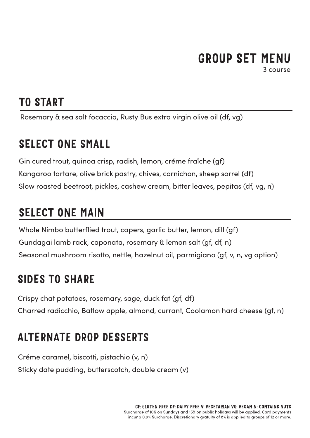# GROUP SET MENU

3 course

## TO START

Rosemary & sea salt focaccia, Rusty Bus extra virgin olive oil (df, vg)

### SELECT ONE SMALL

Gin cured trout, quinoa crisp, radish, lemon, créme fraîche (gf) Kangaroo tartare, olive brick pastry, chives, cornichon, sheep sorrel (df) Slow roasted beetroot, pickles, cashew cream, bitter leaves, pepitas (df, vg, n)

## SELECT ONE MAIN

Whole Nimbo butterflied trout, capers, garlic butter, lemon, dill (gf) Gundagai lamb rack, caponata, rosemary & lemon salt (gf, df, n) Seasonal mushroom risotto, nettle, hazelnut oil, parmigiano (gf, v, n, vg option)

## SIDES TO SHARE

Crispy chat potatoes, rosemary, sage, duck fat (gf, df) Charred radicchio, Batlow apple, almond, currant, Coolamon hard cheese (gf, n)

## ALTERNATE DROP DESSERTS

Créme caramel, biscotti, pistachio (v, n) Sticky date pudding, butterscotch, double cream (v)